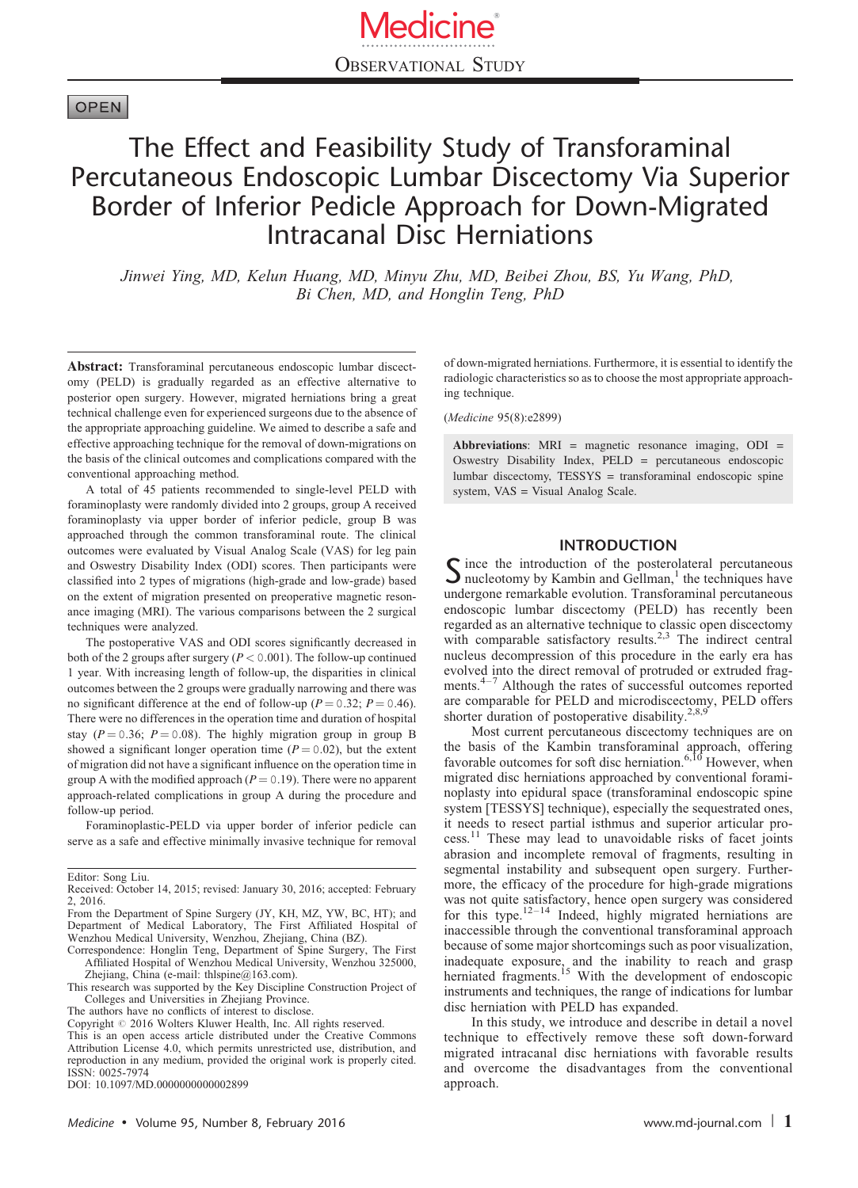# **OPEN**

# The Effect and Feasibility Study of Transforaminal Percutaneous Endoscopic Lumbar Discectomy Via Superior Border of Inferior Pedicle Approach for Down-Migrated Intracanal Disc Herniations

Jinwei Ying, MD, Kelun Huang, MD, Minyu Zhu, MD, Beibei Zhou, BS, Yu Wang, PhD, Bi Chen, MD, and Honglin Teng, PhD

Abstract: Transforaminal percutaneous endoscopic lumbar discectomy (PELD) is gradually regarded as an effective alternative to posterior open surgery. However, migrated herniations bring a great technical challenge even for experienced surgeons due to the absence of the appropriate approaching guideline. We aimed to describe a safe and effective approaching technique for the removal of down-migrations on the basis of the clinical outcomes and complications compared with the conventional approaching method.

A total of 45 patients recommended to single-level PELD with foraminoplasty were randomly divided into 2 groups, group A received foraminoplasty via upper border of inferior pedicle, group B was approached through the common transforaminal route. The clinical outcomes were evaluated by Visual Analog Scale (VAS) for leg pain and Oswestry Disability Index (ODI) scores. Then participants were classified into 2 types of migrations (high-grade and low-grade) based on the extent of migration presented on preoperative magnetic resonance imaging (MRI). The various comparisons between the 2 surgical techniques were analyzed.

The postoperative VAS and ODI scores significantly decreased in both of the 2 groups after surgery ( $P < 0.001$ ). The follow-up continued 1 year. With increasing length of follow-up, the disparities in clinical outcomes between the 2 groups were gradually narrowing and there was no significant difference at the end of follow-up ( $P = 0.32$ ;  $P = 0.46$ ). There were no differences in the operation time and duration of hospital stay ( $P = 0.36$ ;  $P = 0.08$ ). The highly migration group in group B showed a significant longer operation time ( $P = 0.02$ ), but the extent of migration did not have a significant influence on the operation time in group A with the modified approach ( $P = 0.19$ ). There were no apparent approach-related complications in group A during the procedure and follow-up period.

Foraminoplastic-PELD via upper border of inferior pedicle can serve as a safe and effective minimally invasive technique for removal

Correspondence: Honglin Teng, Department of Spine Surgery, The First Affiliated Hospital of Wenzhou Medical University, Wenzhou 325000, Zhejiang, China (e-mail: [thlspine@163.com\)](mailto:thlspine@163.com).

This research was supported by the Key Discipline Construction Project of Colleges and Universities in Zhejiang Province.

The authors have no conflicts of interest to disclose.

Copyright  $@$  2016 Wolters Kluwer Health, Inc. All rights reserved.

DOI: [10.1097/MD.0000000000002899](http://dx.doi.org/10.1097/MD.0000000000002899)

of down-migrated herniations. Furthermore, it is essential to identify the radiologic characteristics so as to choose the most appropriate approaching technique.

(Medicine 95(8):e2899)

Abbreviations: MRI = magnetic resonance imaging, ODI = Oswestry Disability Index, PELD = percutaneous endoscopic lumbar discectomy, TESSYS = transforaminal endoscopic spine system, VAS = Visual Analog Scale.

#### INTRODUCTION

 $S$  ince the introduction of the posterolateral percutaneous nucleotomy by Kambin and Gellman,<sup>[1](#page-5-0)</sup> the techniques have undergone remarkable evolution. Transforaminal percutaneous endoscopic lumbar discectomy (PELD) has recently been regarded as an alternative technique to classic open discectomy with comparable satisfactory results.<sup>[2,3](#page-6-0)</sup> The indirect central nucleus decompression of this procedure in the early era has evolved into the direct removal of protruded or extruded fragments.[4–7](#page-6-0) Although the rates of successful outcomes reported are comparable for PELD and microdiscectomy, PELD offers shorter duration of postoperative disability.<sup>[2,8,9](#page-6-0)</sup>

Most current percutaneous discectomy techniques are on the basis of the Kambin transforaminal approach, offering favorable outcomes for soft disc herniation.<sup>[6,10](#page-6-0)</sup> However, when migrated disc herniations approached by conventional foraminoplasty into epidural space (transforaminal endoscopic spine system [TESSYS] technique), especially the sequestrated ones, it needs to resect partial isthmus and superior articular process.[11](#page-6-0) These may lead to unavoidable risks of facet joints abrasion and incomplete removal of fragments, resulting in segmental instability and subsequent open surgery. Furthermore, the efficacy of the procedure for high-grade migrations was not quite satisfactory, hence open surgery was considered for this type.<sup>[12–14](#page-6-0)</sup> Indeed, highly migrated herniations are inaccessible through the conventional transforaminal approach because of some major shortcomings such as poor visualization, inadequate exposure, and the inability to reach and grasp<br>herniated fragments.<sup>[15](#page-6-0)</sup> With the development of endoscopic instruments and techniques, the range of indications for lumbar disc herniation with PELD has expanded.

In this study, we introduce and describe in detail a novel technique to effectively remove these soft down-forward migrated intracanal disc herniations with favorable results and overcome the disadvantages from the conventional approach.

Editor: Song Liu.

Received: October 14, 2015; revised: January 30, 2016; accepted: February 2, 2016.

From the Department of Spine Surgery (JY, KH, MZ, YW, BC, HT); and Department of Medical Laboratory, The First Affiliated Hospital of Wenzhou Medical University, Wenzhou, Zhejiang, China (BZ).

This is an open access article distributed under the Creative Commons Attribution License 4.0, which permits unrestricted use, distribution, and reproduction in any medium, provided the original work is properly cited. ISSN: 0025-7974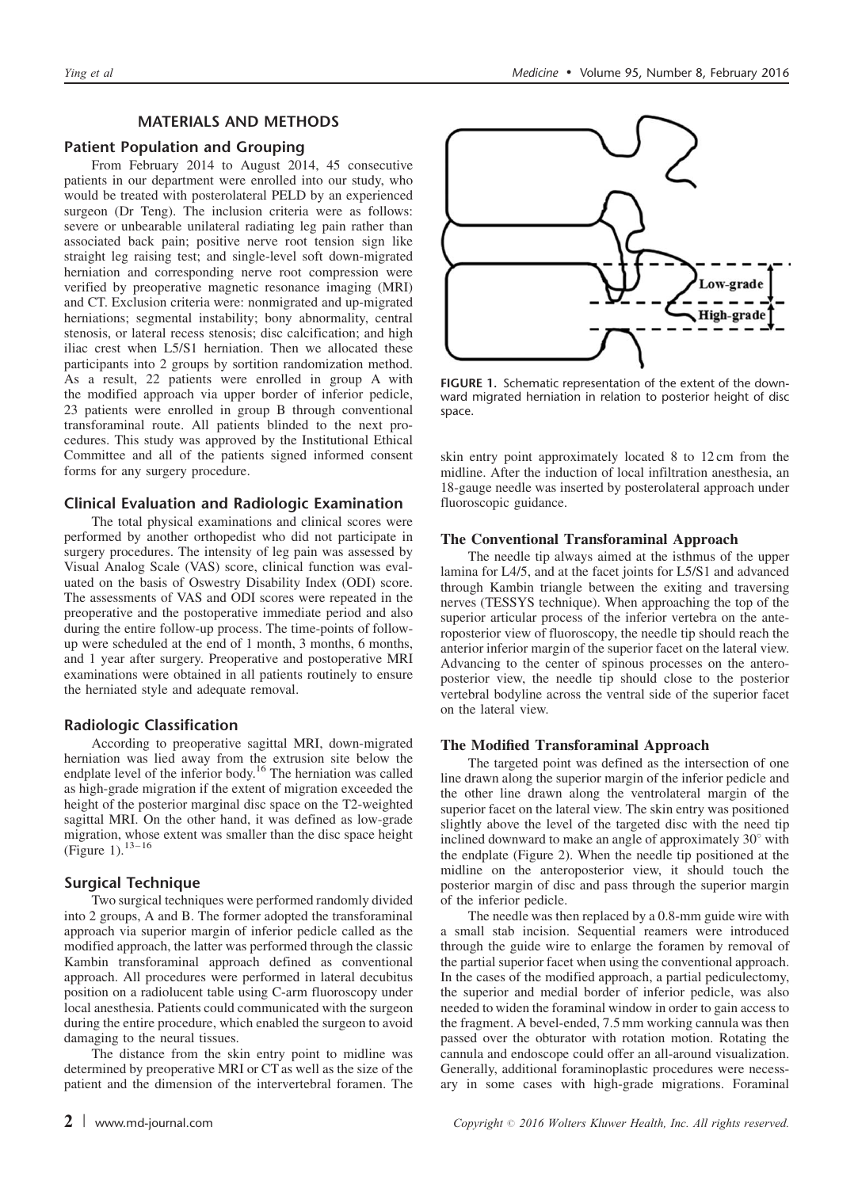# MATERIALS AND METHODS

# Patient Population and Grouping

From February 2014 to August 2014, 45 consecutive patients in our department were enrolled into our study, who would be treated with posterolateral PELD by an experienced surgeon (Dr Teng). The inclusion criteria were as follows: severe or unbearable unilateral radiating leg pain rather than associated back pain; positive nerve root tension sign like straight leg raising test; and single-level soft down-migrated herniation and corresponding nerve root compression were verified by preoperative magnetic resonance imaging (MRI) and CT. Exclusion criteria were: nonmigrated and up-migrated herniations; segmental instability; bony abnormality, central stenosis, or lateral recess stenosis; disc calcification; and high iliac crest when L5/S1 herniation. Then we allocated these participants into 2 groups by sortition randomization method. As a result, 22 patients were enrolled in group A with the modified approach via upper border of inferior pedicle, 23 patients were enrolled in group B through conventional transforaminal route. All patients blinded to the next procedures. This study was approved by the Institutional Ethical Committee and all of the patients signed informed consent forms for any surgery procedure.

# Clinical Evaluation and Radiologic Examination

The total physical examinations and clinical scores were performed by another orthopedist who did not participate in surgery procedures. The intensity of leg pain was assessed by Visual Analog Scale (VAS) score, clinical function was evaluated on the basis of Oswestry Disability Index (ODI) score. The assessments of VAS and ODI scores were repeated in the preoperative and the postoperative immediate period and also during the entire follow-up process. The time-points of followup were scheduled at the end of 1 month, 3 months, 6 months, and 1 year after surgery. Preoperative and postoperative MRI examinations were obtained in all patients routinely to ensure the herniated style and adequate removal.

# Radiologic Classification

According to preoperative sagittal MRI, down-migrated herniation was lied away from the extrusion site below the endplate level of the inferior body.[16](#page-6-0) The herniation was called as high-grade migration if the extent of migration exceeded the height of the posterior marginal disc space on the T2-weighted sagittal MRI. On the other hand, it was defined as low-grade migration, whose extent was smaller than the disc space height (Figure 1).<sup>13-16</sup>

# Surgical Technique

Two surgical techniques were performed randomly divided into 2 groups, A and B. The former adopted the transforaminal approach via superior margin of inferior pedicle called as the modified approach, the latter was performed through the classic Kambin transforaminal approach defined as conventional approach. All procedures were performed in lateral decubitus position on a radiolucent table using C-arm fluoroscopy under local anesthesia. Patients could communicated with the surgeon during the entire procedure, which enabled the surgeon to avoid damaging to the neural tissues.

The distance from the skin entry point to midline was determined by preoperative MRI or CT as well as the size of the patient and the dimension of the intervertebral foramen. The



FIGURE 1. Schematic representation of the extent of the downward migrated herniation in relation to posterior height of disc space.

skin entry point approximately located 8 to 12 cm from the midline. After the induction of local infiltration anesthesia, an 18-gauge needle was inserted by posterolateral approach under fluoroscopic guidance.

### The Conventional Transforaminal Approach

The needle tip always aimed at the isthmus of the upper lamina for L4/5, and at the facet joints for L5/S1 and advanced through Kambin triangle between the exiting and traversing nerves (TESSYS technique). When approaching the top of the superior articular process of the inferior vertebra on the anteroposterior view of fluoroscopy, the needle tip should reach the anterior inferior margin of the superior facet on the lateral view. Advancing to the center of spinous processes on the anteroposterior view, the needle tip should close to the posterior vertebral bodyline across the ventral side of the superior facet on the lateral view.

# The Modified Transforaminal Approach

The targeted point was defined as the intersection of one line drawn along the superior margin of the inferior pedicle and the other line drawn along the ventrolateral margin of the superior facet on the lateral view. The skin entry was positioned slightly above the level of the targeted disc with the need tip inclined downward to make an angle of approximately  $30^{\circ}$  with the endplate [\(Figure 2](#page-2-0)). When the needle tip positioned at the midline on the anteroposterior view, it should touch the posterior margin of disc and pass through the superior margin of the inferior pedicle.

The needle was then replaced by a 0.8-mm guide wire with a small stab incision. Sequential reamers were introduced through the guide wire to enlarge the foramen by removal of the partial superior facet when using the conventional approach. In the cases of the modified approach, a partial pediculectomy, the superior and medial border of inferior pedicle, was also needed to widen the foraminal window in order to gain access to the fragment. A bevel-ended, 7.5 mm working cannula was then passed over the obturator with rotation motion. Rotating the cannula and endoscope could offer an all-around visualization. Generally, additional foraminoplastic procedures were necessary in some cases with high-grade migrations. Foraminal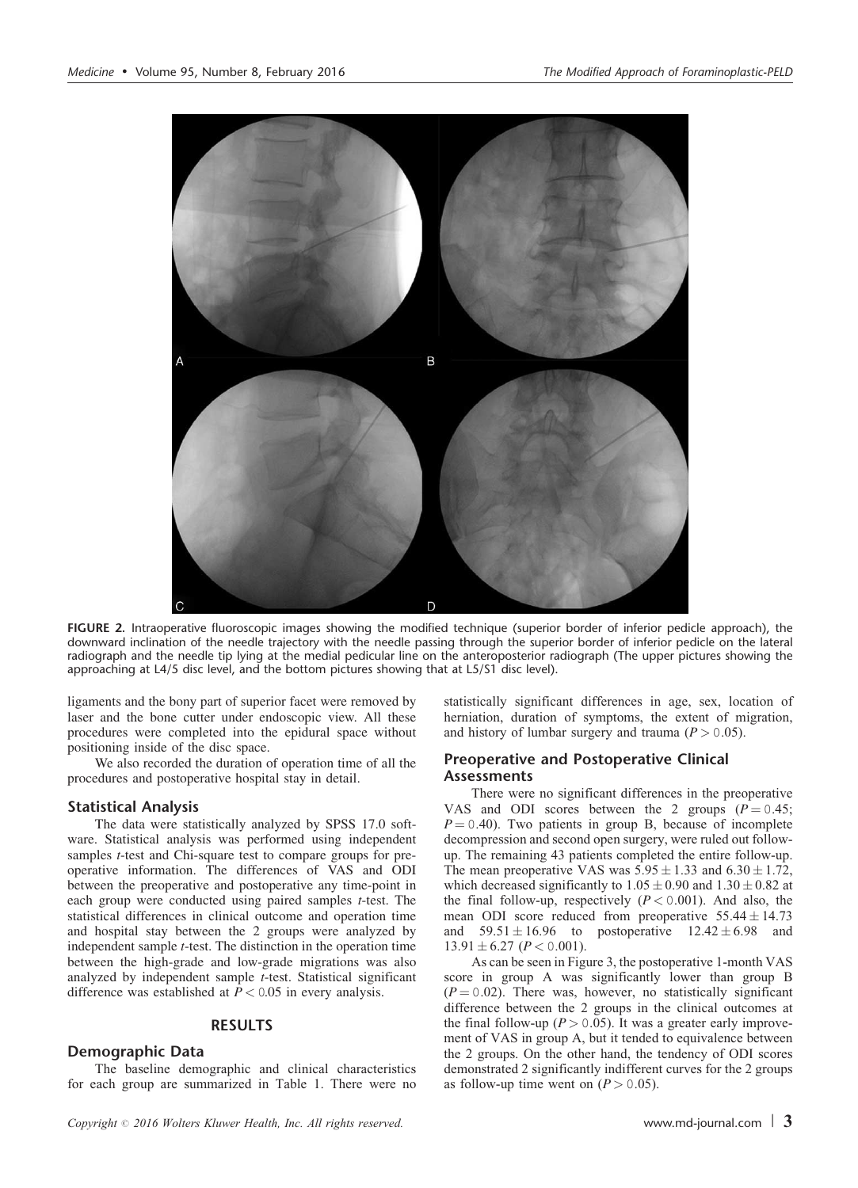<span id="page-2-0"></span>

FIGURE 2. Intraoperative fluoroscopic images showing the modified technique (superior border of inferior pedicle approach), the downward inclination of the needle trajectory with the needle passing through the superior border of inferior pedicle on the lateral radiograph and the needle tip lying at the medial pedicular line on the anteroposterior radiograph (The upper pictures showing the approaching at L4/5 disc level, and the bottom pictures showing that at L5/S1 disc level).

ligaments and the bony part of superior facet were removed by laser and the bone cutter under endoscopic view. All these procedures were completed into the epidural space without positioning inside of the disc space.

We also recorded the duration of operation time of all the procedures and postoperative hospital stay in detail.

#### Statistical Analysis

The data were statistically analyzed by SPSS 17.0 software. Statistical analysis was performed using independent samples *t*-test and Chi-square test to compare groups for preoperative information. The differences of VAS and ODI between the preoperative and postoperative any time-point in each group were conducted using paired samples t-test. The statistical differences in clinical outcome and operation time and hospital stay between the 2 groups were analyzed by independent sample t-test. The distinction in the operation time between the high-grade and low-grade migrations was also analyzed by independent sample t-test. Statistical significant difference was established at  $P < 0.05$  in every analysis.

# **RESULTS**

#### Demographic Data

The baseline demographic and clinical characteristics for each group are summarized in [Table 1.](#page-3-0) There were no statistically significant differences in age, sex, location of herniation, duration of symptoms, the extent of migration, and history of lumbar surgery and trauma ( $P > 0.05$ ).

#### Preoperative and Postoperative Clinical Assessments

There were no significant differences in the preoperative VAS and ODI scores between the 2 groups ( $P = 0.45$ ;  $P = 0.40$ ). Two patients in group B, because of incomplete decompression and second open surgery, were ruled out followup. The remaining 43 patients completed the entire follow-up. The mean preoperative VAS was  $5.95 \pm 1.33$  and  $6.30 \pm 1.72$ , which decreased significantly to  $1.05 \pm 0.90$  and  $1.30 \pm 0.82$  at the final follow-up, respectively  $(P < 0.001)$ . And also, the mean ODI score reduced from preoperative  $55.44 \pm 14.73$ and  $59.51 \pm 16.96$  to postoperative  $12.42 \pm 6.98$  and  $13.91 \pm 6.27$  ( $P < 0.001$ ).

As can be seen in [Figure 3](#page-3-0), the postoperative 1-month VAS score in group A was significantly lower than group B  $(P = 0.02)$ . There was, however, no statistically significant difference between the 2 groups in the clinical outcomes at the final follow-up ( $P > 0.05$ ). It was a greater early improvement of VAS in group A, but it tended to equivalence between the 2 groups. On the other hand, the tendency of ODI scores demonstrated 2 significantly indifferent curves for the 2 groups as follow-up time went on  $(P > 0.05)$ .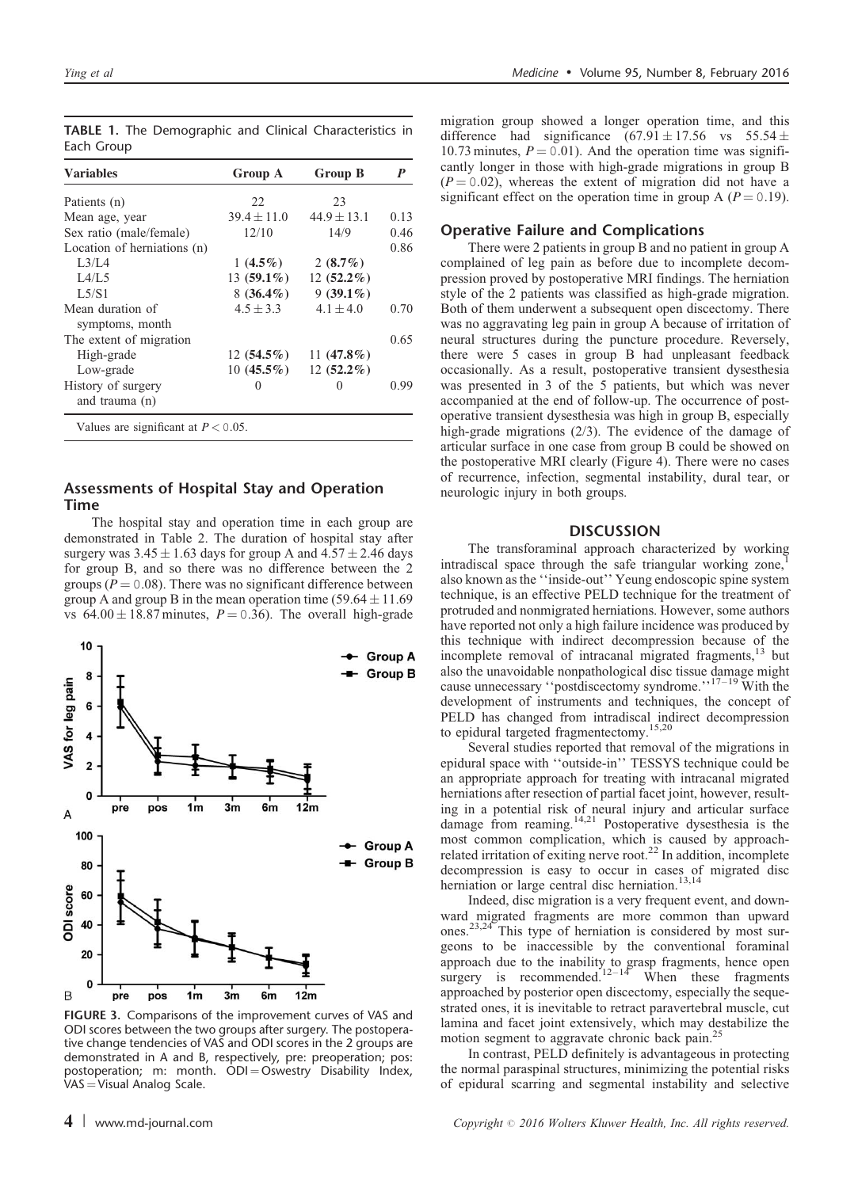| <b>Variables</b>            | Group A         | <b>Group B</b>  | P    |  |
|-----------------------------|-----------------|-----------------|------|--|
| Patients (n)                | 22              | 23              |      |  |
| Mean age, year              | $39.4 \pm 11.0$ | $44.9 \pm 13.1$ | 0.13 |  |
| Sex ratio (male/female)     | 12/10           | 14/9            | 0.46 |  |
| Location of herniations (n) |                 |                 | 0.86 |  |
| L3/L4                       | 1 $(4.5\%)$     | 2 $(8.7\%)$     |      |  |
| IA/L5                       | 13 $(59.1\%)$   | $12(52.2\%)$    |      |  |
| L5/S1                       | $8(36.4\%)$     | $9(39.1\%)$     |      |  |
| Mean duration of            | $4.5 + 3.3$     | $4.1 + 4.0$     | 0.70 |  |
| symptoms, month             |                 |                 |      |  |
| The extent of migration     |                 |                 | 0.65 |  |
| High-grade                  | 12 $(54.5\%)$   | 11 $(47.8\%)$   |      |  |
| Low-grade                   | 10 $(45.5\%)$   | $12(52.2\%)$    |      |  |
| History of surgery          |                 |                 | 0.99 |  |
| and trauma (n)              |                 |                 |      |  |

<span id="page-3-0"></span>TABLE 1. The Demographic and Clinical Characteristics in Each Group

# Assessments of Hospital Stay and Operation Time

The hospital stay and operation time in each group are demonstrated in [Table 2](#page-4-0). The duration of hospital stay after surgery was  $3.45 \pm 1.63$  days for group A and  $4.57 \pm 2.46$  days for group B, and so there was no difference between the 2 groups ( $P = 0.08$ ). There was no significant difference between group A and group B in the mean operation time  $(59.64 \pm 11.69$ vs  $64.00 \pm 18.87$  minutes,  $P = 0.36$ ). The overall high-grade



FIGURE 3. Comparisons of the improvement curves of VAS and ODI scores between the two groups after surgery. The postoperative change tendencies of VAS and ODI scores in the 2 groups are demonstrated in A and B, respectively, pre: preoperation; pos: postoperation; m: month.  $ODI = O$ swestry Disability Index, VAS = Visual Analog Scale.

migration group showed a longer operation time, and this difference had significance  $(67.91 \pm 17.56 \text{ vs } 55.54 \pm 17.56)$ 10.73 minutes,  $P = 0.01$ ). And the operation time was significantly longer in those with high-grade migrations in group B  $(P = 0.02)$ , whereas the extent of migration did not have a significant effect on the operation time in group A ( $P = 0.19$ ).

#### Operative Failure and Complications

There were 2 patients in group B and no patient in group A complained of leg pain as before due to incomplete decompression proved by postoperative MRI findings. The herniation style of the 2 patients was classified as high-grade migration. Both of them underwent a subsequent open discectomy. There was no aggravating leg pain in group A because of irritation of neural structures during the puncture procedure. Reversely, there were 5 cases in group B had unpleasant feedback occasionally. As a result, postoperative transient dysesthesia was presented in 3 of the 5 patients, but which was never accompanied at the end of follow-up. The occurrence of postoperative transient dysesthesia was high in group B, especially high-grade migrations (2/3). The evidence of the damage of articular surface in one case from group B could be showed on the postoperative MRI clearly [\(Figure 4\)](#page-4-0). There were no cases of recurrence, infection, segmental instability, dural tear, or neurologic injury in both groups.

#### **DISCUSSION**

The transforaminal approach characterized by working intradiscal space through the safe triangular working zone, also known as the ''inside-out'' Yeung endoscopic spine system technique, is an effective PELD technique for the treatment of protruded and nonmigrated herniations. However, some authors have reported not only a high failure incidence was produced by this technique with indirect decompression because of the incomplete removal of intracanal migrated fragments,<sup>13</sup> but incomplete removal of intracanal migrated fragments,<sup>1</sup> also the unavoidable nonpathological disc tissue damage might cause unnecessary ''postdiscectomy syndrome.''[17–19](#page-6-0) With the development of instruments and techniques, the concept of PELD has changed from intradiscal indirect decompression to epidural targeted fragmentectomy.<sup>[15,20](#page-6-0)</sup>

Several studies reported that removal of the migrations in epidural space with ''outside-in'' TESSYS technique could be an appropriate approach for treating with intracanal migrated herniations after resection of partial facet joint, however, resulting in a potential risk of neural injury and articular surface damage from reaming.<sup>[14,21](#page-6-0)</sup> Postoperative dysesthesia is the most common complication, which is caused by approach-related irritation of exiting nerve root.<sup>[22](#page-6-0)</sup> In addition, incomplete decompression is easy to occur in cases of migrated disc herniation or large central disc herniation.<sup>[13,14](#page-6-0)</sup>

Indeed, disc migration is a very frequent event, and downward migrated fragments are more common than upward ones. $23,24$  This type of herniation is considered by most surgeons to be inaccessible by the conventional foraminal approach due to the inability to grasp fragments, hence open surgery is recommended.<sup>[12–14](#page-6-0)</sup> When these fragments approached by posterior open discectomy, especially the sequestrated ones, it is inevitable to retract paravertebral muscle, cut lamina and facet joint extensively, which may destabilize the motion segment to aggravate chronic back pain.<sup>2</sup>

In contrast, PELD definitely is advantageous in protecting the normal paraspinal structures, minimizing the potential risks of epidural scarring and segmental instability and selective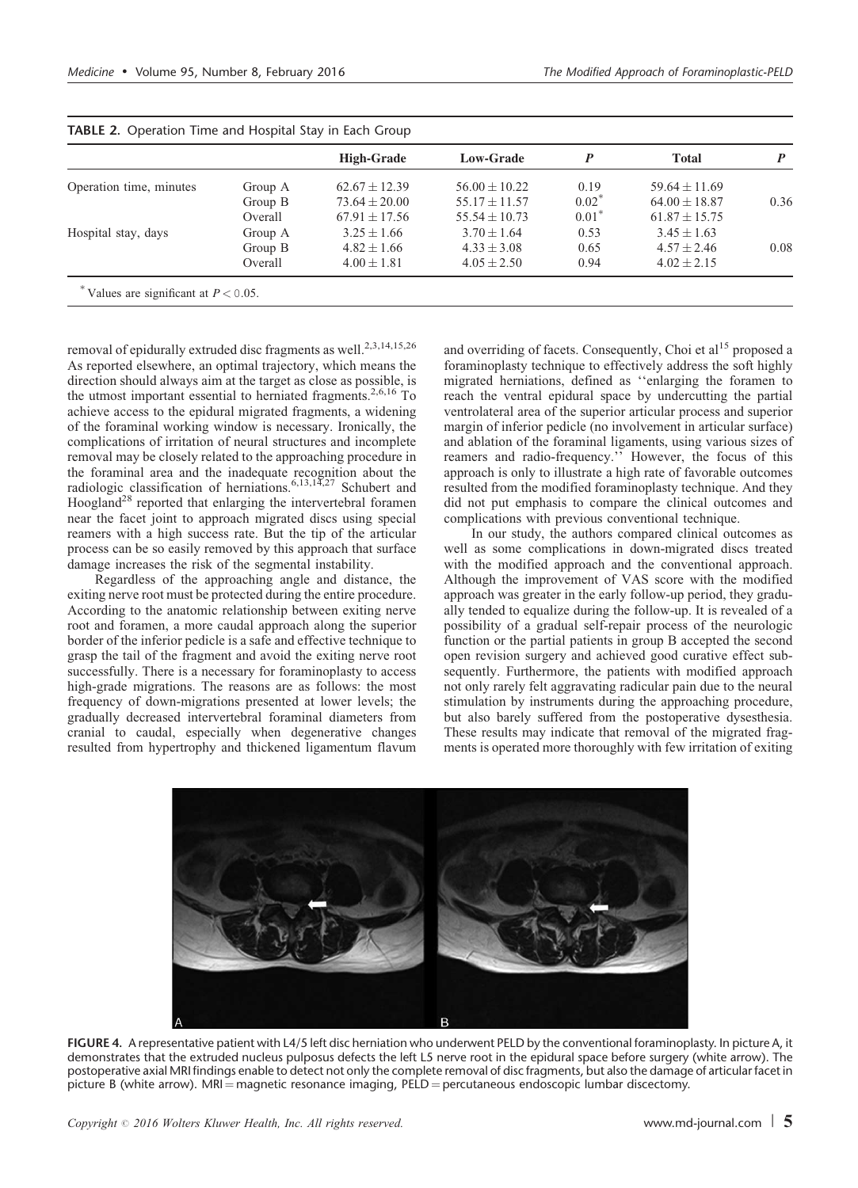|                         |         | <b>High-Grade</b> | <b>Low-Grade</b>  | P        | <b>Total</b>      |      |
|-------------------------|---------|-------------------|-------------------|----------|-------------------|------|
| Operation time, minutes | Group A | $62.67 \pm 12.39$ | $56.00 \pm 10.22$ | 0.19     | $59.64 + 11.69$   |      |
|                         | Group B | $73.64 \pm 20.00$ | $55.17 \pm 11.57$ | $0.02^*$ | $64.00 \pm 18.87$ | 0.36 |
|                         | Overall | $67.91 + 17.56$   | $55.54 + 10.73$   | $0.01*$  | $61.87 + 15.75$   |      |
| Hospital stay, days     | Group A | $3.25 \pm 1.66$   | $3.70 \pm 1.64$   | 0.53     | $3.45 \pm 1.63$   |      |
|                         | Group B | $4.82 \pm 1.66$   | $4.33 \pm 3.08$   | 0.65     | $4.57 \pm 2.46$   | 0.08 |
|                         | Overall | $4.00 + 1.81$     | $4.05 \pm 2.50$   | 0.94     | $4.02 \pm 2.15$   |      |

<span id="page-4-0"></span>

|  | TABLE 2. Operation Time and Hospital Stay in Each Group |  |  |  |  |  |
|--|---------------------------------------------------------|--|--|--|--|--|
|--|---------------------------------------------------------|--|--|--|--|--|

removal of epidurally extruded disc fragments as well.<sup>[2,3,14,15,26](#page-6-0)</sup> As reported elsewhere, an optimal trajectory, which means the direction should always aim at the target as close as possible, is the utmost important essential to herniated fragments.<sup>2,6,16</sup> To achieve access to the epidural migrated fragments, a widening of the foraminal working window is necessary. Ironically, the complications of irritation of neural structures and incomplete removal may be closely related to the approaching procedure in the foraminal area and the inadequate recognition about the radiologic classification of herniations.<sup>[6,13,14,27](#page-6-0)</sup> Schubert and Hoogland<sup>28</sup> reported that enlarging the intervertebral foramen near the facet joint to approach migrated discs using special reamers with a high success rate. But the tip of the articular process can be so easily removed by this approach that surface damage increases the risk of the segmental instability.

Regardless of the approaching angle and distance, the exiting nerve root must be protected during the entire procedure. According to the anatomic relationship between exiting nerve root and foramen, a more caudal approach along the superior border of the inferior pedicle is a safe and effective technique to grasp the tail of the fragment and avoid the exiting nerve root successfully. There is a necessary for foraminoplasty to access high-grade migrations. The reasons are as follows: the most frequency of down-migrations presented at lower levels; the gradually decreased intervertebral foraminal diameters from cranial to caudal, especially when degenerative changes resulted from hypertrophy and thickened ligamentum flavum and overriding of facets. Consequently, Choi et  $al<sup>15</sup>$  proposed a foraminoplasty technique to effectively address the soft highly migrated herniations, defined as ''enlarging the foramen to reach the ventral epidural space by undercutting the partial ventrolateral area of the superior articular process and superior margin of inferior pedicle (no involvement in articular surface) and ablation of the foraminal ligaments, using various sizes of reamers and radio-frequency.'' However, the focus of this approach is only to illustrate a high rate of favorable outcomes resulted from the modified foraminoplasty technique. And they did not put emphasis to compare the clinical outcomes and complications with previous conventional technique.

In our study, the authors compared clinical outcomes as well as some complications in down-migrated discs treated with the modified approach and the conventional approach. Although the improvement of VAS score with the modified approach was greater in the early follow-up period, they gradually tended to equalize during the follow-up. It is revealed of a possibility of a gradual self-repair process of the neurologic function or the partial patients in group B accepted the second open revision surgery and achieved good curative effect subsequently. Furthermore, the patients with modified approach not only rarely felt aggravating radicular pain due to the neural stimulation by instruments during the approaching procedure, but also barely suffered from the postoperative dysesthesia. These results may indicate that removal of the migrated fragments is operated more thoroughly with few irritation of exiting



FIGURE 4. A representative patient with L4/5 left disc herniation who underwent PELD by the conventional foraminoplasty. In picture A, it demonstrates that the extruded nucleus pulposus defects the left L5 nerve root in the epidural space before surgery (white arrow). The postoperative axial MRI findings enable to detect not only the complete removal of disc fragments, but also the damage of articular facet in picture B (white arrow). MRI = magnetic resonance imaging, PELD = percutaneous endoscopic lumbar discectomy.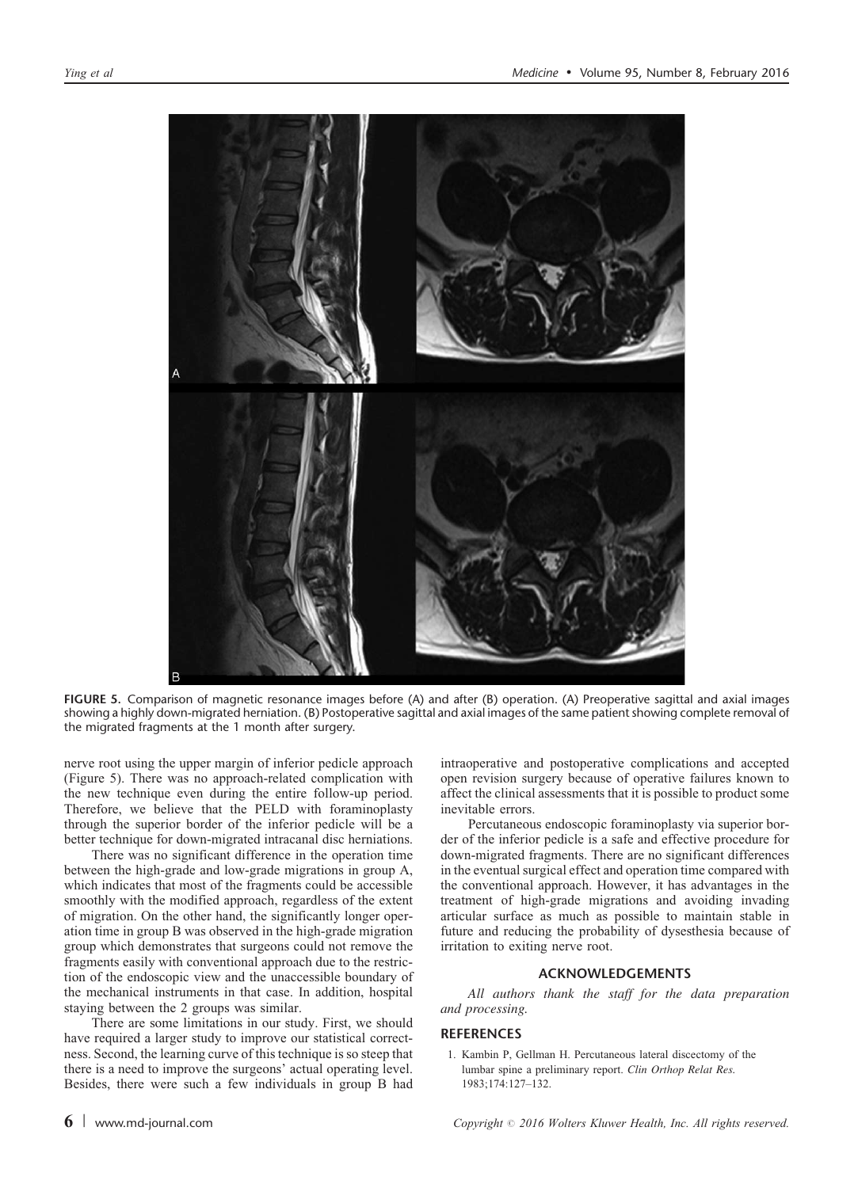<span id="page-5-0"></span>

FIGURE 5. Comparison of magnetic resonance images before (A) and after (B) operation. (A) Preoperative sagittal and axial images showing a highly down-migrated herniation. (B) Postoperative sagittal and axial images of the same patient showing complete removal of the migrated fragments at the 1 month after surgery.

nerve root using the upper margin of inferior pedicle approach (Figure 5). There was no approach-related complication with the new technique even during the entire follow-up period. Therefore, we believe that the PELD with foraminoplasty through the superior border of the inferior pedicle will be a better technique for down-migrated intracanal disc herniations.

There was no significant difference in the operation time between the high-grade and low-grade migrations in group A, which indicates that most of the fragments could be accessible smoothly with the modified approach, regardless of the extent of migration. On the other hand, the significantly longer operation time in group B was observed in the high-grade migration group which demonstrates that surgeons could not remove the fragments easily with conventional approach due to the restriction of the endoscopic view and the unaccessible boundary of the mechanical instruments in that case. In addition, hospital staying between the 2 groups was similar.

There are some limitations in our study. First, we should have required a larger study to improve our statistical correctness. Second, the learning curve of this technique is so steep that there is a need to improve the surgeons' actual operating level. Besides, there were such a few individuals in group B had intraoperative and postoperative complications and accepted open revision surgery because of operative failures known to affect the clinical assessments that it is possible to product some inevitable errors.

Percutaneous endoscopic foraminoplasty via superior border of the inferior pedicle is a safe and effective procedure for down-migrated fragments. There are no significant differences in the eventual surgical effect and operation time compared with the conventional approach. However, it has advantages in the treatment of high-grade migrations and avoiding invading articular surface as much as possible to maintain stable in future and reducing the probability of dysesthesia because of irritation to exiting nerve root.

#### ACKNOWLEDGEMENTS

All authors thank the staff for the data preparation and processing.

#### **REFERENCES**

1. Kambin P, Gellman H. Percutaneous lateral discectomy of the lumbar spine a preliminary report. Clin Orthop Relat Res. 1983;174:127–132.